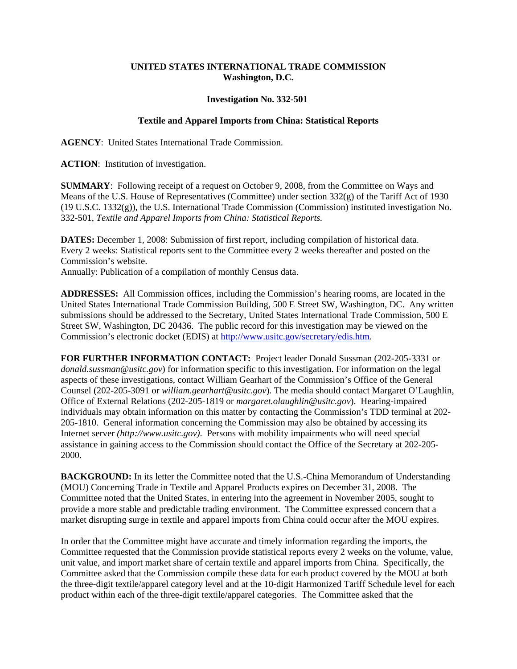## **UNITED STATES INTERNATIONAL TRADE COMMISSION Washington, D.C.**

## **Investigation No. 332-501**

## **Textile and Apparel Imports from China: Statistical Reports**

**AGENCY**: United States International Trade Commission.

**ACTION**: Institution of investigation.

**SUMMARY**: Following receipt of a request on October 9, 2008, from the Committee on Ways and Means of the U.S. House of Representatives (Committee) under section 332(g) of the Tariff Act of 1930 (19 U.S.C. 1332(g)), the U.S. International Trade Commission (Commission) instituted investigation No. 332-501, *Textile and Apparel Imports from China: Statistical Reports.* 

**DATES:** December 1, 2008: Submission of first report, including compilation of historical data. Every 2 weeks: Statistical reports sent to the Committee every 2 weeks thereafter and posted on the Commission's website.

Annually: Publication of a compilation of monthly Census data.

**ADDRESSES:** All Commission offices, including the Commission's hearing rooms, are located in the United States International Trade Commission Building, 500 E Street SW, Washington, DC. Any written submissions should be addressed to the Secretary, United States International Trade Commission, 500 E Street SW, Washington, DC 20436. The public record for this investigation may be viewed on the Commission's electronic docket (EDIS) at http://www.usitc.gov/secretary/edis.htm.

**FOR FURTHER INFORMATION CONTACT:** Project leader Donald Sussman (202-205-3331 or *donald.sussman@usitc.gov*) for information specific to this investigation. For information on the legal aspects of these investigations, contact William Gearhart of the Commission's Office of the General Counsel (202-205-3091 or *william.gearhart@usitc.gov*). The media should contact Margaret O'Laughlin, Office of External Relations (202-205-1819 or *margaret.olaughlin@usitc.gov*). Hearing-impaired individuals may obtain information on this matter by contacting the Commission's TDD terminal at 202- 205-1810. General information concerning the Commission may also be obtained by accessing its Internet server *(http://www.usitc.gov)*. Persons with mobility impairments who will need special assistance in gaining access to the Commission should contact the Office of the Secretary at 202-205- 2000.

**BACKGROUND:** In its letter the Committee noted that the U.S.-China Memorandum of Understanding (MOU) Concerning Trade in Textile and Apparel Products expires on December 31, 2008. The Committee noted that the United States, in entering into the agreement in November 2005, sought to provide a more stable and predictable trading environment. The Committee expressed concern that a market disrupting surge in textile and apparel imports from China could occur after the MOU expires.

In order that the Committee might have accurate and timely information regarding the imports, the Committee requested that the Commission provide statistical reports every 2 weeks on the volume, value, unit value, and import market share of certain textile and apparel imports from China. Specifically, the Committee asked that the Commission compile these data for each product covered by the MOU at both the three-digit textile/apparel category level and at the 10-digit Harmonized Tariff Schedule level for each product within each of the three-digit textile/apparel categories. The Committee asked that the